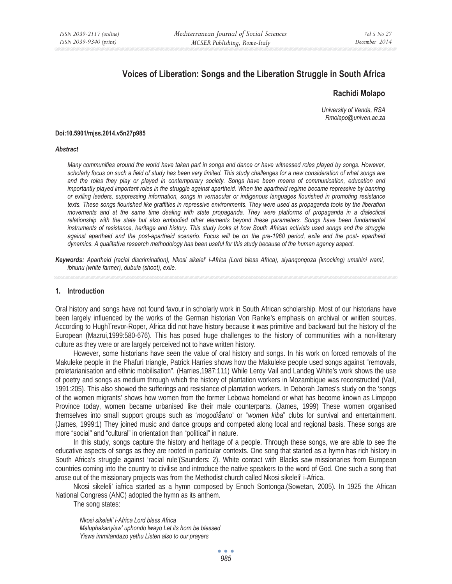# **Voices of Liberation: Songs and the Liberation Struggle in South Africa**

### **Rachidi Molapo**

*University of Venda, RSA Rmolapo@univen.ac.za* 

#### **Doi:10.5901/mjss.2014.v5n27p985**

#### *Abstract*

*Many communities around the world have taken part in songs and dance or have witnessed roles played by songs. However, scholarly focus on such a field of study has been very limited. This study challenges for a new consideration of what songs are and the roles they play or played in contemporary society. Songs have been means of communication, education and importantly played important roles in the struggle against apartheid. When the apartheid regime became repressive by banning or exiling leaders, suppressing information, songs in vernacular or indigenous languages flourished in promoting resistance texts. These songs flourished like graffities in repressive environments. They were used as propaganda tools by the liberation*  movements and at the same time dealing with state propaganda. They were platforms of propaganda in a dialectical relationship with the state but also embodied other elements beyond these parameters. Songs have been fundamental *instruments of resistance, heritage and history. This study looks at how South African activists used songs and the struggle* against apartheid and the post-apartheid scenario. Focus will be on the pre-1960 period, exile and the post- apartheid *dynamics. A qualitative research methodology has been useful for this study because of the human agency aspect.* 

*Keywords: Apartheid (racial discrimination), Nkosi sikelel' i-Africa (Lord bless Africa), siyanqonqoza (knocking) umshini wami, ibhunu (white farmer), dubula (shoot), exile.* 

### **1. Introduction**

Oral history and songs have not found favour in scholarly work in South African scholarship. Most of our historians have been largely influenced by the works of the German historian Von Ranke's emphasis on archival or written sources. According to HughTrevor-Roper, Africa did not have history because it was primitive and backward but the history of the European (Mazrui,1999:580-676). This has posed huge challenges to the history of communities with a non-literary culture as they were or are largely perceived not to have written history.

However, some historians have seen the value of oral history and songs. In his work on forced removals of the Makuleke people in the Phafuri triangle, Patrick Harries shows how the Makuleke people used songs against "removals, proletarianisation and ethnic mobilisation". (Harries,1987:111) While Leroy Vail and Landeg White's work shows the use of poetry and songs as medium through which the history of plantation workers in Mozambique was reconstructed (Vail, 1991:205). This also showed the sufferings and resistance of plantation workers. In Deborah James's study on the 'songs of the women migrants' shows how women from the former Lebowa homeland or what has become known as Limpopo Province today, women became urbanised like their male counterparts. (James, 1999) These women organised themselves into small support groups such as '*mogodiܜano*' or "*women kiba*" clubs for survival and entertainment. (James, 1999:1) They joined music and dance groups and competed along local and regional basis. These songs are more "social" and "cultural" in orientation than "political" in nature.

In this study, songs capture the history and heritage of a people. Through these songs, we are able to see the educative aspects of songs as they are rooted in particular contexts. One song that started as a hymn has rich history in South Africa's struggle against 'racial rule'(Saunders: 2). White contact with Blacks saw missionaries from European countries coming into the country to civilise and introduce the native speakers to the word of God. One such a song that arose out of the missionary projects was from the Methodist church called Nkosi sikeleli' i-Africa.

Nkosi sikeleli' iafrica started as a hymn composed by Enoch Sontonga.(Sowetan, 2005). In 1925 the African National Congress (ANC) adopted the hymn as its anthem.

The song states:

*Nkosi sikeleli' i-Africa Lord bless Africa Maluphakanyisw' uphondo lwayo Let its horn be blessed Yiswa immitandazo yethu Listen also to our prayers*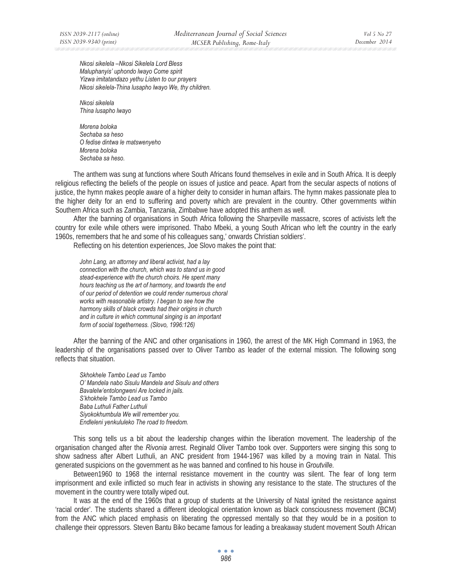*Nkosi sikelela –Nkosi Sikelela Lord Bless Maluphanyis' uphondo lwayo Come spirit Yizwa imitatandazo yethu Listen to our prayers Nkosi sikelela-Thina lusapho lwayo We, thy children.* 

*Nkosi sikelela Thina lusapho lwayo* 

*Morena boloka Sechaba sa heso O fedise dintwa le matswenyeho Morena boloka Sechaba sa heso.* 

The anthem was sung at functions where South Africans found themselves in exile and in South Africa. It is deeply religious reflecting the beliefs of the people on issues of justice and peace. Apart from the secular aspects of notions of justice, the hymn makes people aware of a higher deity to consider in human affairs. The hymn makes passionate plea to the higher deity for an end to suffering and poverty which are prevalent in the country. Other governments within Southern Africa such as Zambia, Tanzania, Zimbabwe have adopted this anthem as well.

After the banning of organisations in South Africa following the Sharpeville massacre, scores of activists left the country for exile while others were imprisoned. Thabo Mbeki, a young South African who left the country in the early 1960s, remembers that he and some of his colleagues sang,' onwards Christian soldiers'.

Reflecting on his detention experiences, Joe Slovo makes the point that:

*John Lang, an attorney and liberal activist, had a lay connection with the church, which was to stand us in good stead-experience with the church choirs. He spent many hours teaching us the art of harmony, and towards the end of our period of detention we could render numerous choral works with reasonable artistry. I began to see how the harmony skills of black crowds had their origins in church and in culture in which communal singing is an important form of social togetherness. (Slovo, 1996:126)* 

After the banning of the ANC and other organisations in 1960, the arrest of the MK High Command in 1963, the leadership of the organisations passed over to Oliver Tambo as leader of the external mission. The following song reflects that situation.

*Skhokhele Tambo Lead us Tambo O' Mandela nabo Sisulu Mandela and Sisulu and others Bavalelw'entolongweni Are locked in jails. S'khokhele Tambo Lead us Tambo Baba Luthuli Father Luthuli Siyokokhumbula We will remember you. Endleleni yenkululeko The road to freedom.* 

This song tells us a bit about the leadership changes within the liberation movement. The leadership of the organisation changed after the *Rivonia* arrest. Reginald Oliver Tambo took over. Supporters were singing this song to show sadness after Albert Luthuli, an ANC president from 1944-1967 was killed by a moving train in Natal. This generated suspicions on the government as he was banned and confined to his house in *Groutville.*

Between1960 to 1968 the internal resistance movement in the country was silent. The fear of long term imprisonment and exile inflicted so much fear in activists in showing any resistance to the state. The structures of the movement in the country were totally wiped out.

It was at the end of the 1960s that a group of students at the University of Natal ignited the resistance against 'racial order'. The students shared a different ideological orientation known as black consciousness movement (BCM) from the ANC which placed emphasis on liberating the oppressed mentally so that they would be in a position to challenge their oppressors. Steven Bantu Biko became famous for leading a breakaway student movement South African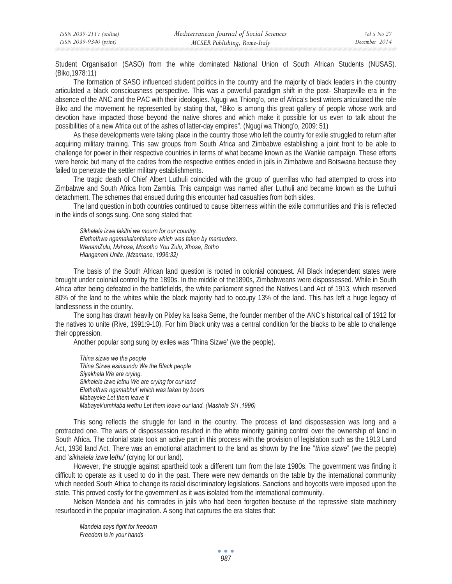Student Organisation (SASO) from the white dominated National Union of South African Students (NUSAS). (Biko,1978:11)

The formation of SASO influenced student politics in the country and the majority of black leaders in the country articulated a black consciousness perspective. This was a powerful paradigm shift in the post- Sharpeville era in the absence of the ANC and the PAC with their ideologies. Ngugi wa Thiong'o, one of Africa's best writers articulated the role Biko and the movement he represented by stating that, "Biko is among this great gallery of people whose work and devotion have impacted those beyond the native shores and which make it possible for us even to talk about the possibilities of a new Africa out of the ashes of latter-day empires". (Ngugi wa Thiong'o, 2009: 51)

As these developments were taking place in the country those who left the country for exile struggled to return after acquiring military training. This saw groups from South Africa and Zimbabwe establishing a joint front to be able to challenge for power in their respective countries in terms of what became known as the Wankie campaign. These efforts were heroic but many of the cadres from the respective entities ended in jails in Zimbabwe and Botswana because they failed to penetrate the settler military establishments.

The tragic death of Chief Albert Luthuli coincided with the group of guerrillas who had attempted to cross into Zimbabwe and South Africa from Zambia. This campaign was named after Luthuli and became known as the Luthuli detachment. The schemes that ensued during this encounter had casualties from both sides.

The land question in both countries continued to cause bitterness within the exile communities and this is reflected in the kinds of songs sung. One song stated that:

*Sikhalela izwe lakithi we mourn for our country. Elathathwa ngamakalantshane which was taken by marauders. WenamZulu, Mxhosa, Mosotho You Zulu, Xhosa, Sotho Hlanganani Unite. (Mzamane, 1996:32)* 

The basis of the South African land question is rooted in colonial conquest. All Black independent states were brought under colonial control by the 1890s. In the middle of the1890s, Zimbabweans were dispossessed. While in South Africa after being defeated in the battlefields, the white parliament signed the Natives Land Act of 1913, which reserved 80% of the land to the whites while the black majority had to occupy 13% of the land. This has left a huge legacy of landlessness in the country.

The song has drawn heavily on Pixley ka Isaka Seme, the founder member of the ANC's historical call of 1912 for the natives to unite (Rive, 1991:9-10). For him Black unity was a central condition for the blacks to be able to challenge their oppression.

Another popular song sung by exiles was 'Thina Sizwe' (we the people).

*Thina sizwe we the people Thina Sizwe esinsundu We the Black people Siyakhala We are crying. Sikhalela izwe lethu We are crying for our land Elathathwa ngamabhul' which was taken by boers Mabayeke Let them leave it Mabayek'umhlaba wethu Let them leave our land. (Mashele SH ,1996)* 

This song reflects the struggle for land in the country. The process of land dispossession was long and a protracted one. The wars of dispossession resulted in the white minority gaining control over the ownership of land in South Africa. The colonial state took an active part in this process with the provision of legislation such as the 1913 Land Act, 1936 land Act. There was an emotional attachment to the land as shown by the line "*thina sizwe*" (we the people) and '*sikhalela izwe* l*ethu*' (crying for our land).

However, the struggle against apartheid took a different turn from the late 1980s. The government was finding it difficult to operate as it used to do in the past. There were new demands on the table by the international community which needed South Africa to change its racial discriminatory legislations. Sanctions and boycotts were imposed upon the state. This proved costly for the government as it was isolated from the international community.

Nelson Mandela and his comrades in jails who had been forgotten because of the repressive state machinery resurfaced in the popular imagination. A song that captures the era states that:

*Mandela says fight for freedom Freedom is in your hands*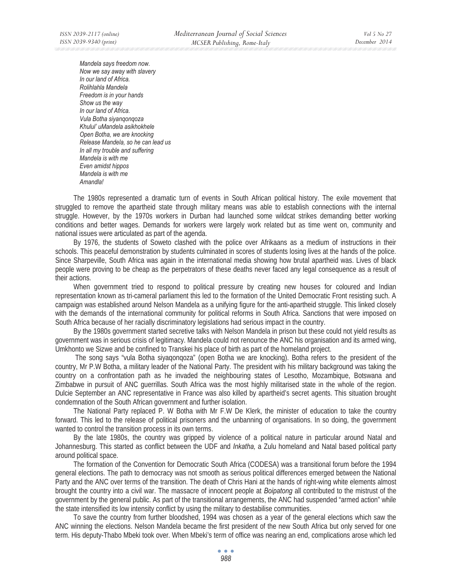*Mandela says freedom now. Now we say away with slavery In our land of Africa. Rolihlahla Mandela Freedom is in your hands Show us the way In our land of Africa. Vula Botha siyanqonqoza Khulul' uMandela asikhokhele Open Botha, we are knocking Release Mandela, so he can lead us In all my trouble and suffering Mandela is with me Even amidst hippos Mandela is with me Amandla!* 

The 1980s represented a dramatic turn of events in South African political history. The exile movement that struggled to remove the apartheid state through military means was able to establish connections with the internal struggle. However, by the 1970s workers in Durban had launched some wildcat strikes demanding better working conditions and better wages. Demands for workers were largely work related but as time went on, community and national issues were articulated as part of the agenda.

By 1976, the students of Soweto clashed with the police over Afrikaans as a medium of instructions in their schools. This peaceful demonstration by students culminated in scores of students losing lives at the hands of the police. Since Sharpeville, South Africa was again in the international media showing how brutal apartheid was. Lives of black people were proving to be cheap as the perpetrators of these deaths never faced any legal consequence as a result of their actions.

When government tried to respond to political pressure by creating new houses for coloured and Indian representation known as tri-cameral parliament this led to the formation of the United Democratic Front resisting such. A campaign was established around Nelson Mandela as a unifying figure for the anti-apartheid struggle. This linked closely with the demands of the international community for political reforms in South Africa. Sanctions that were imposed on South Africa because of her racially discriminatory legislations had serious impact in the country.

By the 1980s government started secretive talks with Nelson Mandela in prison but these could not yield results as government was in serious crisis of legitimacy. Mandela could not renounce the ANC his organisation and its armed wing, Umkhonto we Sizwe and be confined to Transkei his place of birth as part of the homeland project.

 The song says "vula Botha siyaqonqoza" (open Botha we are knocking). Botha refers to the president of the country, Mr P.W Botha, a military leader of the National Party. The president with his military background was taking the country on a confrontation path as he invaded the neighbouring states of Lesotho, Mozambique, Botswana and Zimbabwe in pursuit of ANC guerrillas. South Africa was the most highly militarised state in the whole of the region. Dulcie September an ANC representative in France was also killed by apartheid's secret agents. This situation brought condemnation of the South African government and further isolation.

The National Party replaced P. W Botha with Mr F.W De Klerk, the minister of education to take the country forward. This led to the release of political prisoners and the unbanning of organisations. In so doing, the government wanted to control the transition process in its own terms.

By the late 1980s, the country was gripped by violence of a political nature in particular around Natal and Johannesburg. This started as conflict between the UDF and *Inkatha,* a Zulu homeland and Natal based political party around political space.

The formation of the Convention for Democratic South Africa (CODESA) was a transitional forum before the 1994 general elections. The path to democracy was not smooth as serious political differences emerged between the National Party and the ANC over terms of the transition. The death of Chris Hani at the hands of right-wing white elements almost brought the country into a civil war. The massacre of innocent people at *Boipatong* all contributed to the mistrust of the government by the general public. As part of the transitional arrangements, the ANC had suspended "armed action" while the state intensified its low intensity conflict by using the military to destabilise communities.

To save the country from further bloodshed, 1994 was chosen as a year of the general elections which saw the ANC winning the elections. Nelson Mandela became the first president of the new South Africa but only served for one term. His deputy-Thabo Mbeki took over. When Mbeki's term of office was nearing an end, complications arose which led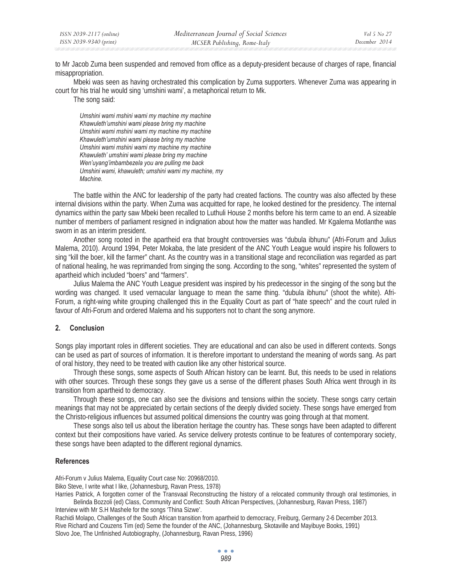to Mr Jacob Zuma been suspended and removed from office as a deputy-president because of charges of rape, financial misappropriation.

Mbeki was seen as having orchestrated this complication by Zuma supporters. Whenever Zuma was appearing in court for his trial he would sing 'umshini wami', a metaphorical return to Mk.

The song said:

*Umshini wami mshini wami my machine my machine Khawuleth'umshini wami please bring my machine Umshini wami mshini wami my machine my machine Khawuleth'umshini wami please bring my machine Umshini wami mshini wami my machine my machine Khawuleth' umshini wami please bring my machine Wen'uyang'imbambezela you are pulling me back Umshini wami, khawuleth; umshini wami my machine, my Machine.* 

The battle within the ANC for leadership of the party had created factions. The country was also affected by these internal divisions within the party. When Zuma was acquitted for rape, he looked destined for the presidency. The internal dynamics within the party saw Mbeki been recalled to Luthuli House 2 months before his term came to an end. A sizeable number of members of parliament resigned in indignation about how the matter was handled. Mr Kgalema Motlanthe was sworn in as an interim president.

Another song rooted in the apartheid era that brought controversies was "dubula ibhunu" (Afri-Forum and Julius Malema, 2010). Around 1994, Peter Mokaba, the late president of the ANC Youth League would inspire his followers to sing "kill the boer, kill the farmer" chant. As the country was in a transitional stage and reconciliation was regarded as part of national healing, he was reprimanded from singing the song. According to the song, "whites" represented the system of apartheid which included "boers" and "farmers".

Julius Malema the ANC Youth League president was inspired by his predecessor in the singing of the song but the wording was changed. It used vernacular language to mean the same thing. "dubula ibhunu" (shoot the white). Afri-Forum, a right-wing white grouping challenged this in the Equality Court as part of "hate speech" and the court ruled in favour of Afri-Forum and ordered Malema and his supporters not to chant the song anymore.

# **2. Conclusion**

Songs play important roles in different societies. They are educational and can also be used in different contexts. Songs can be used as part of sources of information. It is therefore important to understand the meaning of words sang. As part of oral history, they need to be treated with caution like any other historical source.

Through these songs, some aspects of South African history can be learnt. But, this needs to be used in relations with other sources. Through these songs they gave us a sense of the different phases South Africa went through in its transition from apartheid to democracy.

Through these songs, one can also see the divisions and tensions within the society. These songs carry certain meanings that may not be appreciated by certain sections of the deeply divided society. These songs have emerged from the Christo-religious influences but assumed political dimensions the country was going through at that moment.

These songs also tell us about the liberation heritage the country has. These songs have been adapted to different context but their compositions have varied. As service delivery protests continue to be features of contemporary society, these songs have been adapted to the different regional dynamics.

# **References**

Afri-Forum v Julius Malema, Equality Court case No: 20968/2010.

Biko Steve, I write what I like, (Johannesburg, Ravan Press, 1978)

Harries Patrick, A forgotten corner of the Transvaal Reconstructing the history of a relocated community through oral testimonies, in

Belinda Bozzoli (ed) Class, Community and Conflict: South African Perspectives, (Johannesburg, Ravan Press, 1987) Interview with Mr S.H Mashele for the songs 'Thina Sizwe'.

Rachidi Molapo, Challenges of the South African transition from apartheid to democracy, Freiburg, Germany 2-6 December 2013. Rive Richard and Couzens Tim (ed) Seme the founder of the ANC, (Johannesburg, Skotaville and Mayibuye Books, 1991) Slovo Joe, The Unfinished Autobiography, (Johannesburg, Ravan Press, 1996)